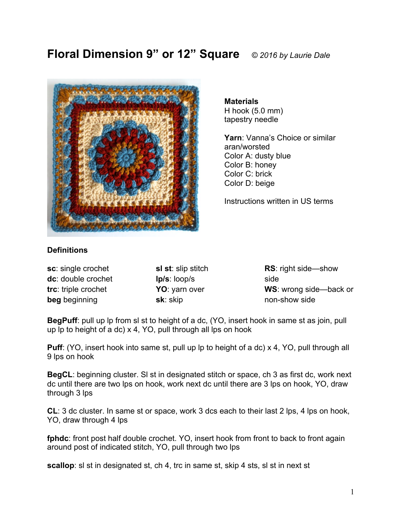# **Floral Dimension 9" or 12" Square** *© 2016 by Laurie Dale*



**Materials** H hook (5.0 mm) tapestry needle

**Yarn**: Vanna's Choice or similar aran/worsted Color A: dusty blue Color B: honey Color C: brick Color D: beige

Instructions written in US terms

## **Definitions**

| sc: single crochet  |
|---------------------|
| dc: double crochet  |
| trc: triple crochet |
| beg beginning       |

**sl st**: slip stitch **lp/s**: loop/s **YO**: yarn over **sk**: skip

**RS**: right side—show side **WS**: wrong side—back or non-show side

**BegPuff**: pull up lp from sl st to height of a dc, (YO, insert hook in same st as join, pull up lp to height of a dc) x 4, YO, pull through all lps on hook

**Puff:** (YO, insert hook into same st, pull up lp to height of a dc) x 4, YO, pull through all 9 lps on hook

**BegCL**: beginning cluster. Sl st in designated stitch or space, ch 3 as first dc, work next dc until there are two lps on hook, work next dc until there are 3 lps on hook, YO, draw through 3 lps

**CL**: 3 dc cluster. In same st or space, work 3 dcs each to their last 2 lps, 4 lps on hook, YO, draw through 4 lps

**fphdc**: front post half double crochet. YO, insert hook from front to back to front again around post of indicated stitch, YO, pull through two lps

**scallop**: sl st in designated st, ch 4, trc in same st, skip 4 sts, sl st in next st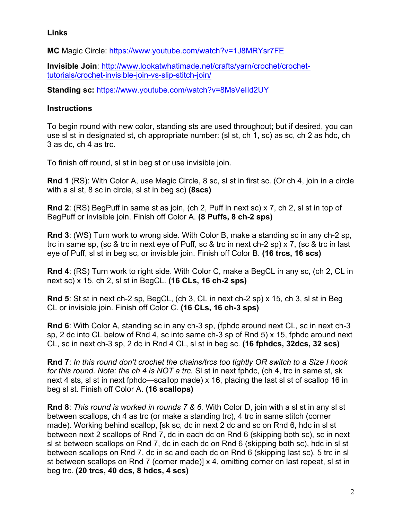#### **Links**

**MC** Magic Circle: https://www.youtube.com/watch?v=1J8MRYsr7FE

**Invisible Join**: http://www.lookatwhatimade.net/crafts/yarn/crochet/crochettutorials/crochet-invisible-join-vs-slip-stitch-join/

**Standing sc:** https://www.youtube.com/watch?v=8MsVeIId2UY

### **Instructions**

To begin round with new color, standing sts are used throughout; but if desired, you can use sl st in designated st, ch appropriate number: (sl st, ch 1, sc) as sc, ch 2 as hdc, ch 3 as dc, ch 4 as trc.

To finish off round, sl st in beg st or use invisible join.

**Rnd 1** (RS): With Color A, use Magic Circle, 8 sc, sl st in first sc. (Or ch 4, join in a circle with a sl st, 8 sc in circle, sl st in beg sc) **(8scs)**

**Rnd 2**: (RS) BegPuff in same st as join, (ch 2, Puff in next sc) x 7, ch 2, sl st in top of BegPuff or invisible join. Finish off Color A. **(8 Puffs, 8 ch-2 sps)**

**Rnd 3**: (WS) Turn work to wrong side. With Color B, make a standing sc in any ch-2 sp, trc in same sp, (sc & trc in next eye of Puff, sc & trc in next ch-2 sp) x 7, (sc & trc in last eye of Puff, sl st in beg sc, or invisible join. Finish off Color B. **(16 trcs, 16 scs)**

**Rnd 4**: (RS) Turn work to right side. With Color C, make a BegCL in any sc, (ch 2, CL in next sc) x 15, ch 2, sl st in BegCL. **(16 CLs, 16 ch-2 sps)**

**Rnd 5**: St st in next ch-2 sp, BegCL, (ch 3, CL in next ch-2 sp) x 15, ch 3, sl st in Beg CL or invisible join. Finish off Color C. **(16 CLs, 16 ch-3 sps)**

**Rnd 6**: With Color A, standing sc in any ch-3 sp, (fphdc around next CL, sc in next ch-3 sp, 2 dc into CL below of Rnd 4, sc into same ch-3 sp of Rnd 5) x 15, fphdc around next CL, sc in next ch-3 sp, 2 dc in Rnd 4 CL, sl st in beg sc. **(16 fphdcs, 32dcs, 32 scs)**

**Rnd 7**: *In this round don't crochet the chains/trcs too tightly OR switch to a Size I hook for this round. Note: the ch 4 is NOT a trc.* Sl st in next fphdc, (ch 4, trc in same st, sk next 4 sts, sl st in next fphdc—scallop made) x 16, placing the last sl st of scallop 16 in beg sl st. Finish off Color A. **(16 scallops)**

**Rnd 8**: *This round is worked in rounds 7 & 6.* With Color D, join with a sl st in any sl st between scallops, ch 4 as trc (or make a standing trc), 4 trc in same stitch (corner made). Working behind scallop, [sk sc, dc in next 2 dc and sc on Rnd 6, hdc in sl st between next 2 scallops of Rnd 7, dc in each dc on Rnd 6 (skipping both sc), sc in next sl st between scallops on Rnd 7, dc in each dc on Rnd 6 (skipping both sc), hdc in sl st between scallops on Rnd 7, dc in sc and each dc on Rnd 6 (skipping last sc), 5 trc in sl st between scallops on Rnd 7 (corner made)] x 4, omitting corner on last repeat, sl st in beg trc. **(20 trcs, 40 dcs, 8 hdcs, 4 scs)**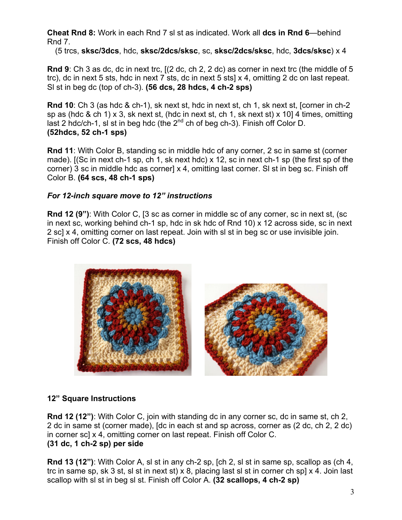**Cheat Rnd 8:** Work in each Rnd 7 sl st as indicated. Work all **dcs in Rnd 6**—behind Rnd 7.

(5 trcs, **sksc/3dcs**, hdc, **sksc/2dcs/sksc**, sc, **sksc/2dcs/sksc**, hdc, **3dcs/sksc**) x 4

**Rnd 9**: Ch 3 as dc, dc in next trc, [(2 dc, ch 2, 2 dc) as corner in next trc (the middle of 5 trc), dc in next 5 sts, hdc in next 7 sts, dc in next 5 sts] x 4, omitting 2 dc on last repeat. Sl st in beg dc (top of ch-3). **(56 dcs, 28 hdcs, 4 ch-2 sps)**

**Rnd 10**: Ch 3 (as hdc & ch-1), sk next st, hdc in next st, ch 1, sk next st, [corner in ch-2 sp as (hdc & ch 1) x 3, sk next st, (hdc in next st, ch 1, sk next st) x 10] 4 times, omitting last 2 hdc/ch-1, si st in beg hdc (the  $2<sup>nd</sup>$  ch of beg ch-3). Finish off Color D. **(52hdcs, 52 ch-1 sps)**

**Rnd 11**: With Color B, standing sc in middle hdc of any corner, 2 sc in same st (corner made). [(Sc in next ch-1 sp, ch 1, sk next hdc) x 12, sc in next ch-1 sp (the first sp of the corner) 3 sc in middle hdc as corner] x 4, omitting last corner. Sl st in beg sc. Finish off Color B. **(64 scs, 48 ch-1 sps)**

#### *For 12-inch square move to 12" instructions*

**Rnd 12 (9")**: With Color C, [3 sc as corner in middle sc of any corner, sc in next st, (sc in next sc, working behind ch-1 sp, hdc in sk hdc of Rnd 10) x 12 across side, sc in next 2 sc] x 4, omitting corner on last repeat. Join with sl st in beg sc or use invisible join. Finish off Color C. **(72 scs, 48 hdcs)**



#### **12" Square Instructions**

**Rnd 12 (12")**: With Color C, join with standing dc in any corner sc, dc in same st, ch 2, 2 dc in same st (corner made), [dc in each st and sp across, corner as (2 dc, ch 2, 2 dc) in corner sc] x 4, omitting corner on last repeat. Finish off Color C. **(31 dc, 1 ch-2 sp) per side**

**Rnd 13 (12")**: With Color A, sl st in any ch-2 sp, [ch 2, sl st in same sp, scallop as (ch 4, trc in same sp, sk 3 st, sl st in next st) x 8, placing last sl st in corner ch sp] x 4. Join last scallop with sl st in beg sl st. Finish off Color A. **(32 scallops, 4 ch-2 sp)**